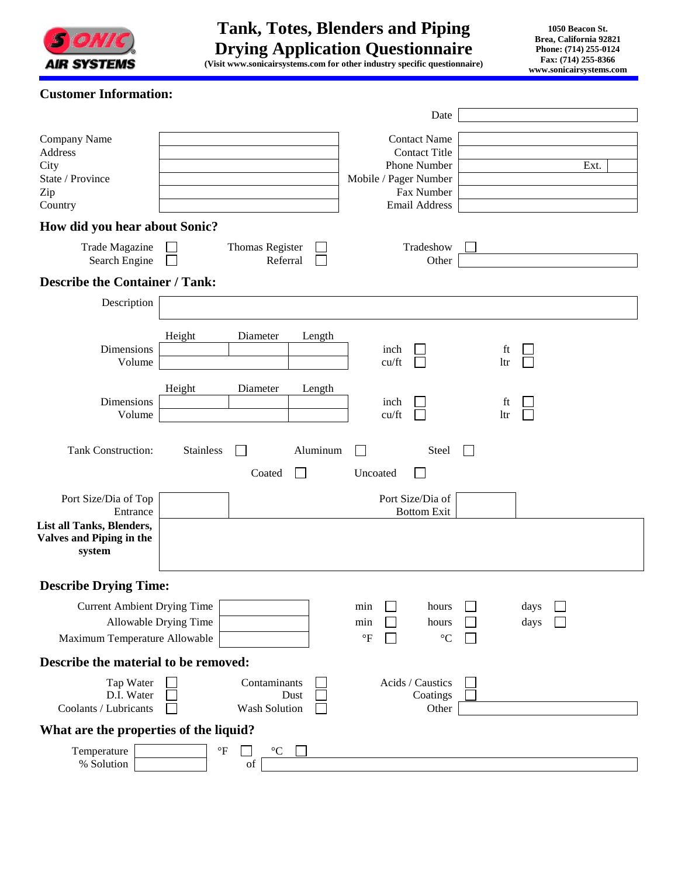

## **Customer Information:**

|                                                                        |                       |                                       |                           |                                    |               | Date                                                                                                                |  |           |              |      |
|------------------------------------------------------------------------|-----------------------|---------------------------------------|---------------------------|------------------------------------|---------------|---------------------------------------------------------------------------------------------------------------------|--|-----------|--------------|------|
| Company Name<br>Address<br>City<br>State / Province<br>Zip<br>Country  |                       |                                       |                           |                                    |               | <b>Contact Name</b><br><b>Contact Title</b><br>Phone Number<br>Mobile / Pager Number<br>Fax Number<br>Email Address |  |           |              | Ext. |
| How did you hear about Sonic?                                          |                       |                                       |                           |                                    |               |                                                                                                                     |  |           |              |      |
| Trade Magazine<br>Search Engine                                        |                       | Thomas Register<br>Referral           |                           |                                    |               | Tradeshow<br>Other                                                                                                  |  |           |              |      |
| <b>Describe the Container / Tank:</b>                                  |                       |                                       |                           |                                    |               |                                                                                                                     |  |           |              |      |
| Description                                                            |                       |                                       |                           |                                    |               |                                                                                                                     |  |           |              |      |
| Dimensions<br>Volume                                                   | Height                | Diameter                              | Length                    |                                    | inch<br>cu/ft |                                                                                                                     |  | ft<br>ltr |              |      |
| Dimensions<br>Volume                                                   | Height                | Diameter                              | Length                    |                                    | inch<br>cu/ft |                                                                                                                     |  | ft<br>ltr |              |      |
| <b>Tank Construction:</b>                                              | <b>Stainless</b>      | Coated                                | Aluminum<br>$\mathcal{L}$ | Uncoated                           |               | Steel                                                                                                               |  |           |              |      |
| Port Size/Dia of Top<br>Entrance                                       |                       |                                       |                           |                                    |               | Port Size/Dia of<br><b>Bottom Exit</b>                                                                              |  |           |              |      |
| List all Tanks, Blenders,<br><b>Valves and Piping in the</b><br>system |                       |                                       |                           |                                    |               |                                                                                                                     |  |           |              |      |
| <b>Describe Drying Time:</b>                                           |                       |                                       |                           |                                    |               |                                                                                                                     |  |           |              |      |
| <b>Current Ambient Drying Time</b><br>Maximum Temperature Allowable    | Allowable Drying Time |                                       |                           | min<br>min<br>$\mathrm{^{\circ}F}$ |               | hours<br>hours<br>$^{\circ}C$                                                                                       |  |           | days<br>days |      |
| Describe the material to be removed:                                   |                       |                                       |                           |                                    |               |                                                                                                                     |  |           |              |      |
| Tap Water<br>D.I. Water<br>Coolants / Lubricants                       |                       | Contaminants<br>Dust<br>Wash Solution |                           |                                    |               | Acids / Caustics<br>Coatings<br>Other                                                                               |  |           |              |      |
| What are the properties of the liquid?                                 |                       |                                       |                           |                                    |               |                                                                                                                     |  |           |              |      |
| Temperature<br>% Solution                                              | $\mathrm{^{\circ}F}$  | $^{\circ}{\rm C}$<br>of               |                           |                                    |               |                                                                                                                     |  |           |              |      |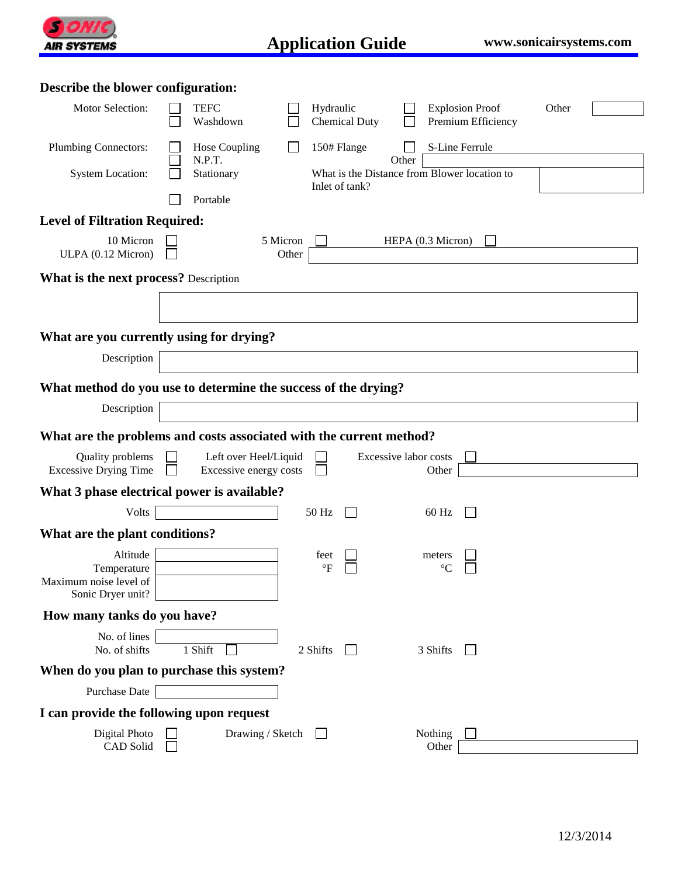

| Describe the blower configuration:                                     |                                                                |                                                 |                   |                                   |                       |                                              |       |  |
|------------------------------------------------------------------------|----------------------------------------------------------------|-------------------------------------------------|-------------------|-----------------------------------|-----------------------|----------------------------------------------|-------|--|
| Motor Selection:                                                       |                                                                | <b>TEFC</b><br>Washdown                         |                   | Hydraulic<br><b>Chemical Duty</b> |                       | <b>Explosion Proof</b><br>Premium Efficiency | Other |  |
| <b>Plumbing Connectors:</b>                                            |                                                                | Hose Coupling<br>N.P.T.                         |                   | 150# Flange                       | Other                 | S-Line Ferrule                               |       |  |
| <b>System Location:</b>                                                |                                                                | Stationary                                      |                   | Inlet of tank?                    |                       | What is the Distance from Blower location to |       |  |
|                                                                        |                                                                | Portable                                        |                   |                                   |                       |                                              |       |  |
| <b>Level of Filtration Required:</b>                                   |                                                                |                                                 |                   |                                   |                       |                                              |       |  |
| 10 Micron<br>ULPA (0.12 Micron)                                        |                                                                |                                                 | 5 Micron<br>Other |                                   |                       | HEPA (0.3 Micron)                            |       |  |
| <b>What is the next process?</b> Description                           |                                                                |                                                 |                   |                                   |                       |                                              |       |  |
|                                                                        |                                                                |                                                 |                   |                                   |                       |                                              |       |  |
| What are you currently using for drying?                               |                                                                |                                                 |                   |                                   |                       |                                              |       |  |
| Description                                                            |                                                                |                                                 |                   |                                   |                       |                                              |       |  |
|                                                                        | What method do you use to determine the success of the drying? |                                                 |                   |                                   |                       |                                              |       |  |
| Description                                                            |                                                                |                                                 |                   |                                   |                       |                                              |       |  |
| What are the problems and costs associated with the current method?    |                                                                |                                                 |                   |                                   |                       |                                              |       |  |
| Quality problems<br><b>Excessive Drying Time</b>                       |                                                                | Left over Heel/Liquid<br>Excessive energy costs |                   |                                   | Excessive labor costs | Other                                        |       |  |
| What 3 phase electrical power is available?                            |                                                                |                                                 |                   |                                   |                       |                                              |       |  |
| <b>Volts</b>                                                           |                                                                |                                                 |                   | 50 Hz                             |                       | 60 Hz                                        |       |  |
| What are the plant conditions?                                         |                                                                |                                                 |                   |                                   |                       |                                              |       |  |
| Altitude<br>Temperature<br>Maximum noise level of<br>Sonic Dryer unit? |                                                                |                                                 |                   | feet<br>$\rm ^{\circ}F$           |                       | meters<br>$\rm ^{\circ}C$                    |       |  |
| How many tanks do you have?                                            |                                                                |                                                 |                   |                                   |                       |                                              |       |  |
| No. of lines<br>No. of shifts                                          |                                                                | 1 Shift                                         |                   | 2 Shifts<br>$\mathbf{L}$          |                       | 3 Shifts<br>$\mathbf{I}$                     |       |  |
| When do you plan to purchase this system?                              |                                                                |                                                 |                   |                                   |                       |                                              |       |  |
| Purchase Date                                                          |                                                                |                                                 |                   |                                   |                       |                                              |       |  |
| I can provide the following upon request                               |                                                                |                                                 |                   |                                   |                       |                                              |       |  |
| Digital Photo<br>CAD Solid                                             |                                                                |                                                 | Drawing / Sketch  |                                   |                       | Nothing<br>Other                             |       |  |